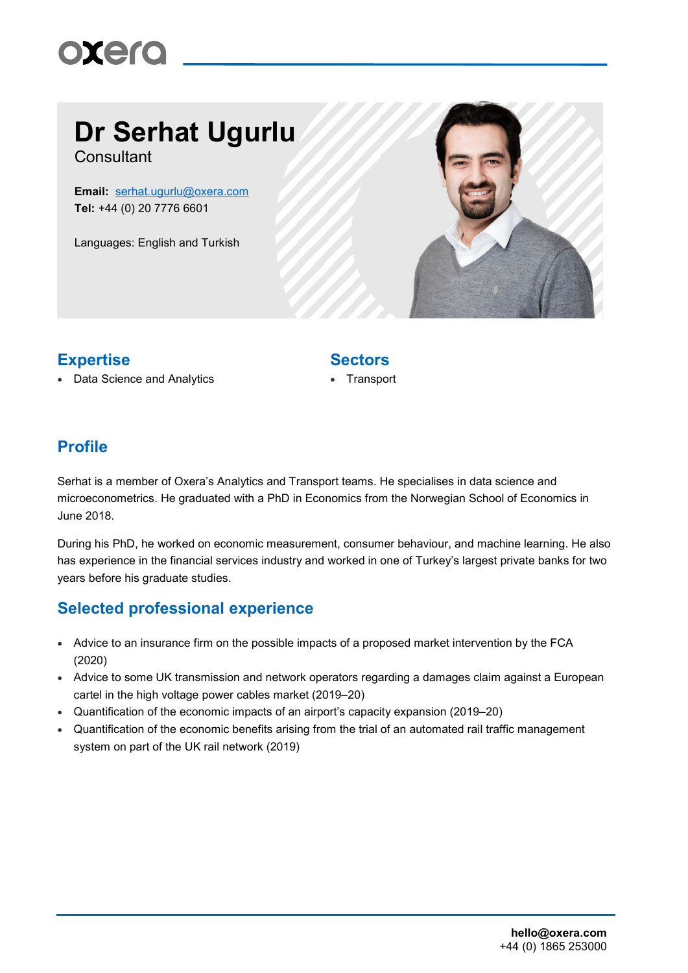# oxero

# **Dr Serhat Ugurlu**

**Consultant** 

**Email:** [serhat.ugurlu@oxera.com](mailto:serhat.ugurlu@oxera.com) **Tel:** +44 (0) 20 7776 6601

Languages: English and Turkish



### **Expertise Sectors**

#### • Data Science and Analytics • Transport

### **Profile**

Serhat is a member of Oxera's Analytics and Transport teams. He specialises in data science and microeconometrics. He graduated with a PhD in Economics from the Norwegian School of Economics in June 2018.

During his PhD, he worked on economic measurement, consumer behaviour, and machine learning. He also has experience in the financial services industry and worked in one of Turkey's largest private banks for two years before his graduate studies.

### **Selected professional experience**

- Advice to an insurance firm on the possible impacts of a proposed market intervention by the FCA (2020)
- Advice to some UK transmission and network operators regarding a damages claim against a European cartel in the high voltage power cables market (2019–20)
- Quantification of the economic impacts of an airport's capacity expansion (2019–20)
- Quantification of the economic benefits arising from the trial of an automated rail traffic management system on part of the UK rail network (2019)